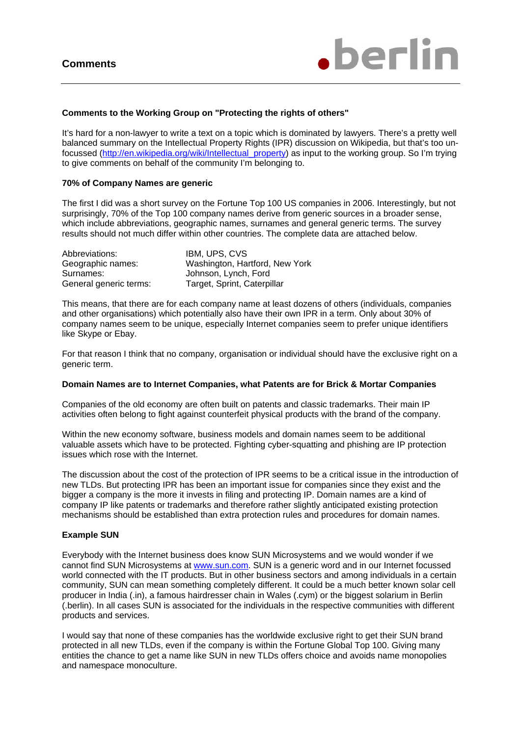

#### **Comments to the Working Group on "Protecting the rights of others"**

It's hard for a non-lawyer to write a text on a topic which is dominated by lawyers. There's a pretty well balanced summary on the Intellectual Property Rights (IPR) discussion on Wikipedia, but that's too unfocussed (http://en.wikipedia.org/wiki/Intellectual\_property) as input to the working group. So I'm trying to give comments on behalf of the community I'm belonging to.

### **70% of Company Names are generic**

The first I did was a short survey on the Fortune Top 100 US companies in 2006. Interestingly, but not surprisingly, 70% of the Top 100 company names derive from generic sources in a broader sense, which include abbreviations, geographic names, surnames and general generic terms. The survey results should not much differ within other countries. The complete data are attached below.

| Abbreviations:         | IBM. UPS. CVS                  |
|------------------------|--------------------------------|
| Geographic names:      | Washington, Hartford, New York |
| Surnames:              | Johnson, Lynch, Ford           |
| General generic terms: | Target, Sprint, Caterpillar    |

This means, that there are for each company name at least dozens of others (individuals, companies and other organisations) which potentially also have their own IPR in a term. Only about 30% of company names seem to be unique, especially Internet companies seem to prefer unique identifiers like Skype or Ebay.

For that reason I think that no company, organisation or individual should have the exclusive right on a generic term.

#### **Domain Names are to Internet Companies, what Patents are for Brick & Mortar Companies**

Companies of the old economy are often built on patents and classic trademarks. Their main IP activities often belong to fight against counterfeit physical products with the brand of the company.

Within the new economy software, business models and domain names seem to be additional valuable assets which have to be protected. Fighting cyber-squatting and phishing are IP protection issues which rose with the Internet.

The discussion about the cost of the protection of IPR seems to be a critical issue in the introduction of new TLDs. But protecting IPR has been an important issue for companies since they exist and the bigger a company is the more it invests in filing and protecting IP. Domain names are a kind of company IP like patents or trademarks and therefore rather slightly anticipated existing protection mechanisms should be established than extra protection rules and procedures for domain names.

#### **Example SUN**

Everybody with the Internet business does know SUN Microsystems and we would wonder if we cannot find SUN Microsystems at www.sun.com. SUN is a generic word and in our Internet focussed world connected with the IT products. But in other business sectors and among individuals in a certain community, SUN can mean something completely different. It could be a much better known solar cell producer in India (.in), a famous hairdresser chain in Wales (.cym) or the biggest solarium in Berlin (.berlin). In all cases SUN is associated for the individuals in the respective communities with different products and services.

I would say that none of these companies has the worldwide exclusive right to get their SUN brand protected in all new TLDs, even if the company is within the Fortune Global Top 100. Giving many entities the chance to get a name like SUN in new TLDs offers choice and avoids name monopolies and namespace monoculture.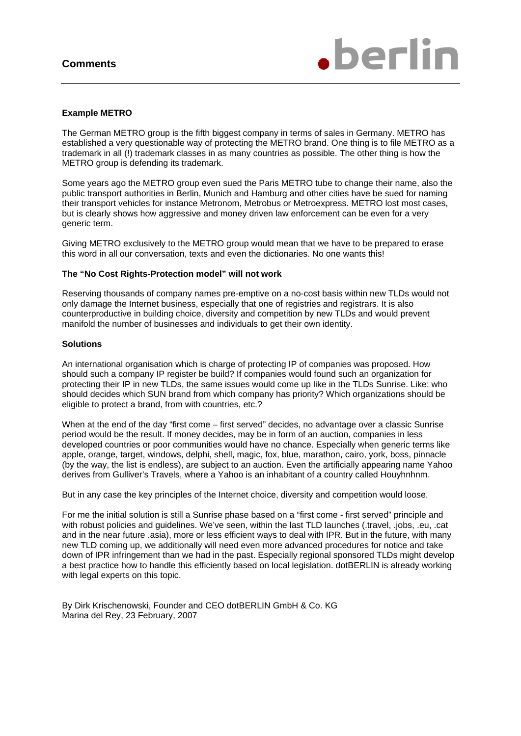

### **Example METRO**

The German METRO group is the fifth biggest company in terms of sales in Germany. METRO has established a very questionable way of protecting the METRO brand. One thing is to file METRO as a trademark in all (!) trademark classes in as many countries as possible. The other thing is how the METRO group is defending its trademark.

Some years ago the METRO group even sued the Paris METRO tube to change their name, also the public transport authorities in Berlin, Munich and Hamburg and other cities have be sued for naming their transport vehicles for instance Metronom, Metrobus or Metroexpress. METRO lost most cases, but is clearly shows how aggressive and money driven law enforcement can be even for a very generic term.

Giving METRO exclusively to the METRO group would mean that we have to be prepared to erase this word in all our conversation, texts and even the dictionaries. No one wants this!

#### **The "No Cost Rights-Protection model" will not work**

Reserving thousands of company names pre-emptive on a no-cost basis within new TLDs would not only damage the Internet business, especially that one of registries and registrars. It is also counterproductive in building choice, diversity and competition by new TLDs and would prevent manifold the number of businesses and individuals to get their own identity.

### **Solutions**

An international organisation which is charge of protecting IP of companies was proposed. How should such a company IP register be build? If companies would found such an organization for protecting their IP in new TLDs, the same issues would come up like in the TLDs Sunrise. Like: who should decides which SUN brand from which company has priority? Which organizations should be eligible to protect a brand, from with countries, etc.?

When at the end of the day "first come – first served" decides, no advantage over a classic Sunrise period would be the result. If money decides, may be in form of an auction, companies in less developed countries or poor communities would have no chance. Especially when generic terms like apple, orange, target, windows, delphi, shell, magic, fox, blue, marathon, cairo, york, boss, pinnacle (by the way, the list is endless), are subject to an auction. Even the artificially appearing name Yahoo derives from Gulliver's Travels, where a Yahoo is an inhabitant of a country called Houyhnhnm.

But in any case the key principles of the Internet choice, diversity and competition would loose.

For me the initial solution is still a Sunrise phase based on a "first come - first served" principle and with robust policies and guidelines. We've seen, within the last TLD launches (.travel, .jobs, .eu, .cat and in the near future .asia), more or less efficient ways to deal with IPR. But in the future, with many new TLD coming up, we additionally will need even more advanced procedures for notice and take down of IPR infringement than we had in the past. Especially regional sponsored TLDs might develop a best practice how to handle this efficiently based on local legislation. dotBERLIN is already working with legal experts on this topic.

By Dirk Krischenowski, Founder and CEO dotBERLIN GmbH & Co. KG Marina del Rey, 23 February, 2007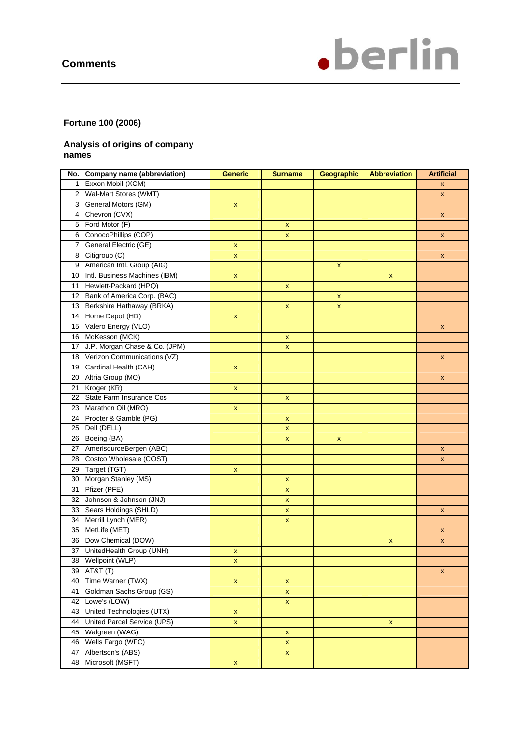

# **Fortune 100 (2006)**

## **Analysis of origins of company names**

| No.             | Company name (abbreviation)   | <b>Generic</b>     | <b>Surname</b>     | Geographic  | <b>Abbreviation</b> | <b>Artificial</b>  |
|-----------------|-------------------------------|--------------------|--------------------|-------------|---------------------|--------------------|
| 1 <sup>1</sup>  | Exxon Mobil (XOM)             |                    |                    |             |                     | X                  |
| $2^{\circ}$     | Wal-Mart Stores (WMT)         |                    |                    |             |                     | $\mathsf{x}$       |
| 3               | General Motors (GM)           | X                  |                    |             |                     |                    |
| 4               | Chevron (CVX)                 |                    |                    |             |                     | X                  |
| 5               | Ford Motor (F)                |                    | $\mathsf{x}$       |             |                     |                    |
| 6               | ConocoPhillips (COP)          |                    | $\mathbf{x}$       |             |                     | $\mathsf{x}$       |
| 7               | General Electric (GE)         | $\mathbf{x}$       |                    |             |                     |                    |
| 8               | Citigroup (C)                 | $\mathsf{x}$       |                    |             |                     | X                  |
| 9               | American Intl. Group (AIG)    |                    |                    | $\mathsf X$ |                     |                    |
| 10 <sup>1</sup> | Intl. Business Machines (IBM) | $\mathsf X$        |                    |             | $\pmb{\mathsf{x}}$  |                    |
| 11 <sup>1</sup> | Hewlett-Packard (HPQ)         |                    | $\pmb{\mathsf{x}}$ |             |                     |                    |
| 12              | Bank of America Corp. (BAC)   |                    |                    | X           |                     |                    |
| 13              | Berkshire Hathaway (BRKA)     |                    | $\pmb{\mathsf{x}}$ | $\mathsf X$ |                     |                    |
| 14              | Home Depot (HD)               | $\pmb{\mathsf{x}}$ |                    |             |                     |                    |
| 15 <sup>1</sup> | Valero Energy (VLO)           |                    |                    |             |                     | $\pmb{\mathsf{x}}$ |
| 16 <sup>1</sup> | McKesson (MCK)                |                    | $\pmb{\mathsf{x}}$ |             |                     |                    |
| 17              | J.P. Morgan Chase & Co. (JPM) |                    | $\pmb{\mathsf{x}}$ |             |                     |                    |
| 18 <sup>1</sup> | Verizon Communications (VZ)   |                    |                    |             |                     | $\pmb{\mathsf{x}}$ |
| 19 <sup>1</sup> | Cardinal Health (CAH)         | x                  |                    |             |                     |                    |
| 20 <sub>1</sub> | Altria Group (MO)             |                    |                    |             |                     | $\pmb{\mathsf{x}}$ |
| 21              | Kroger (KR)                   | X.                 |                    |             |                     |                    |
| 22              | State Farm Insurance Cos      |                    | $\pmb{\mathsf{x}}$ |             |                     |                    |
| 23              | Marathon Oil (MRO)            | X                  |                    |             |                     |                    |
| 24              | Procter & Gamble (PG)         |                    | $\mathbf{x}$       |             |                     |                    |
| 25              | Dell (DELL)                   |                    | $\mathsf X$        |             |                     |                    |
| 26              | Boeing (BA)                   |                    | x                  | X           |                     |                    |
| 27              | AmerisourceBergen (ABC)       |                    |                    |             |                     | $\pmb{\mathsf{x}}$ |
| 28              | Costco Wholesale (COST)       |                    |                    |             |                     | X                  |
| 29              | Target (TGT)                  | $\mathsf X$        |                    |             |                     |                    |
| 30              | Morgan Stanley (MS)           |                    | x                  |             |                     |                    |
| 31              | Pfizer (PFE)                  |                    | $\pmb{\mathsf{x}}$ |             |                     |                    |
| 32              | Johnson & Johnson (JNJ)       |                    | $\mathsf{x}$       |             |                     |                    |
| 33              | Sears Holdings (SHLD)         |                    | $\pmb{\mathsf{x}}$ |             |                     | $\pmb{\mathsf{x}}$ |
| 34              | Merrill Lynch (MER)           |                    | $\pmb{\mathsf{x}}$ |             |                     |                    |
| 35              | MetLife (MET)                 |                    |                    |             |                     | $\pmb{\mathsf{x}}$ |
| 36              | Dow Chemical (DOW)            |                    |                    |             | $\pmb{\mathsf{x}}$  | $\pmb{\mathsf{x}}$ |
| 37              | UnitedHealth Group (UNH)      | X                  |                    |             |                     |                    |
|                 | 38 Wellpoint (WLP)            | $\mathbf{x}$       |                    |             |                     |                    |
| 39              | AT&T (T)                      |                    |                    |             |                     | $\pmb{\mathsf{x}}$ |
| 40              | Time Warner (TWX)             | $\pmb{\mathsf{x}}$ | $\pmb{\mathsf{x}}$ |             |                     |                    |
| 41              | Goldman Sachs Group (GS)      |                    | $\mathsf X$        |             |                     |                    |
| 42              | Lowe's (LOW)                  |                    | $\mathsf X$        |             |                     |                    |
| 43              | United Technologies (UTX)     | $\mathsf X$        |                    |             |                     |                    |
| 44              | United Parcel Service (UPS)   | $\mathbf x$        |                    |             | $\pmb{\mathsf{x}}$  |                    |
| 45              | Walgreen (WAG)                |                    | $\pmb{\mathsf{x}}$ |             |                     |                    |
| 46              | Wells Fargo (WFC)             |                    | $\mathsf X$        |             |                     |                    |
| 47              | Albertson's (ABS)             |                    | $\mathsf X$        |             |                     |                    |
| 48              | Microsoft (MSFT)              | $\pmb{\mathsf{x}}$ |                    |             |                     |                    |